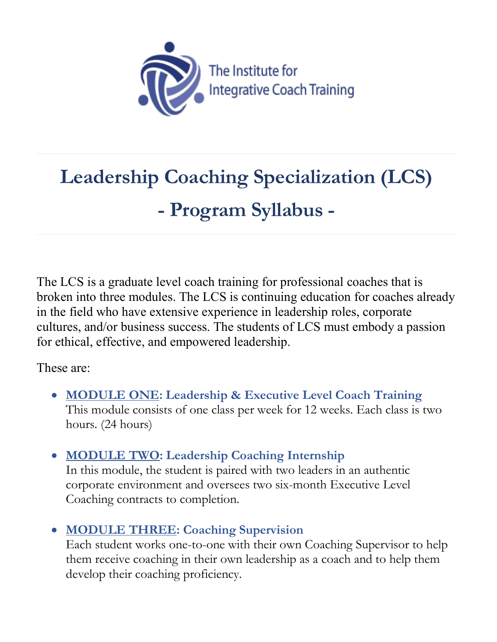

# **Leadership Coaching Specialization (LCS) - Program Syllabus -**

The LCS is a graduate level coach training for professional coaches that is broken into three modules. The LCS is continuing education for coaches already in the field who have extensive experience in leadership roles, corporate cultures, and/or business success. The students of LCS must embody a passion for ethical, effective, and empowered leadership.

These are:

- **MODULE ONE: Leadership & Executive Level Coach Training**  This module consists of one class per week for 12 weeks. Each class is two hours. (24 hours)
- **MODULE TWO: Leadership Coaching Internship**

In this module, the student is paired with two leaders in an authentic corporate environment and oversees two six-month Executive Level Coaching contracts to completion.

• **MODULE THREE: Coaching Supervision**

Each student works one-to-one with their own Coaching Supervisor to help them receive coaching in their own leadership as a coach and to help them develop their coaching proficiency.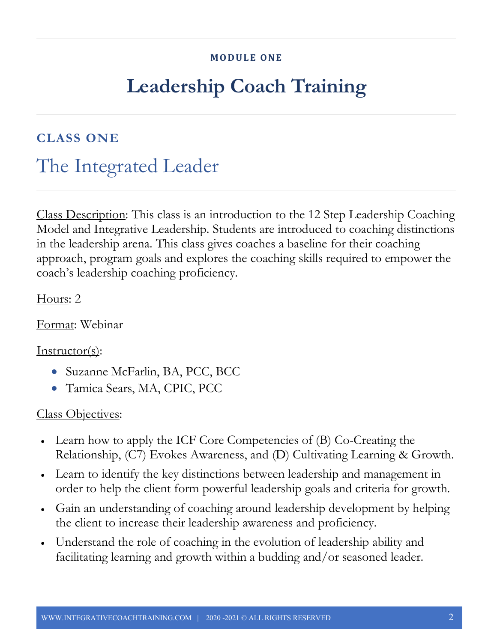#### **MODULE ONE**

## **Leadership Coach Training**

#### **CLASS ONE**

### The Integrated Leader

Class Description: This class is an introduction to the 12 Step Leadership Coaching Model and Integrative Leadership. Students are introduced to coaching distinctions in the leadership arena. This class gives coaches a baseline for their coaching approach, program goals and explores the coaching skills required to empower the coach's leadership coaching proficiency.

Hours: 2

Format: Webinar

#### Instructor(s):

- Suzanne McFarlin, BA, PCC, BCC
- Tamica Sears, MA, CPIC, PCC

- Learn how to apply the ICF Core Competencies of (B) Co-Creating the Relationship, (C7) Evokes Awareness, and (D) Cultivating Learning & Growth.
- Learn to identify the key distinctions between leadership and management in order to help the client form powerful leadership goals and criteria for growth.
- Gain an understanding of coaching around leadership development by helping the client to increase their leadership awareness and proficiency.
- Understand the role of coaching in the evolution of leadership ability and facilitating learning and growth within a budding and/or seasoned leader.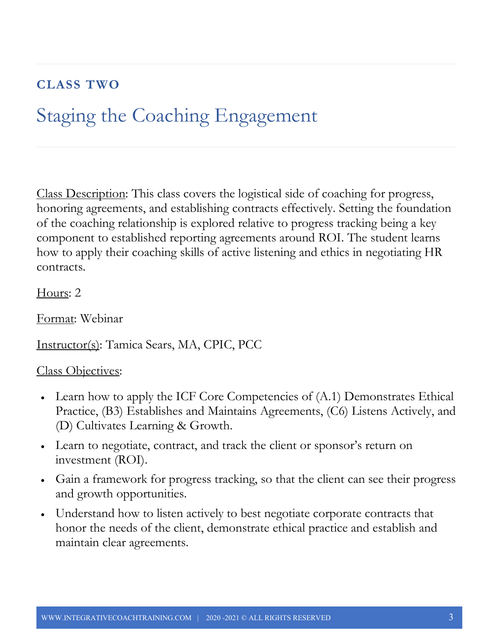### **CLASS TWO**

## Staging the Coaching Engagement

Class Description: This class covers the logistical side of coaching for progress, honoring agreements, and establishing contracts effectively. Setting the foundation of the coaching relationship is explored relative to progress tracking being a key component to established reporting agreements around ROI. The student learns how to apply their coaching skills of active listening and ethics in negotiating HR contracts.

Hours: 2

Format: Webinar

Instructor(s): Tamica Sears, MA, CPIC, PCC

- Learn how to apply the ICF Core Competencies of (A.1) Demonstrates Ethical Practice, (B3) Establishes and Maintains Agreements, (C6) Listens Actively, and (D) Cultivates Learning & Growth.
- Learn to negotiate, contract, and track the client or sponsor's return on investment (ROI).
- Gain a framework for progress tracking, so that the client can see their progress and growth opportunities.
- Understand how to listen actively to best negotiate corporate contracts that honor the needs of the client, demonstrate ethical practice and establish and maintain clear agreements.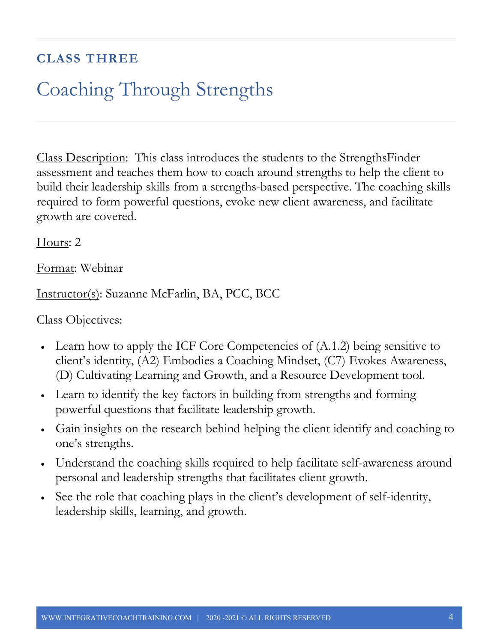### **CLASS THREE**

## Coaching Through Strengths

Class Description: This class introduces the students to the StrengthsFinder assessment and teaches them how to coach around strengths to help the client to build their leadership skills from a strengths-based perspective. The coaching skills required to form powerful questions, evoke new client awareness, and facilitate growth are covered.

Hours: 2

Format: Webinar

Instructor(s): Suzanne McFarlin, BA, PCC, BCC

- Learn how to apply the ICF Core Competencies of  $(A.1.2)$  being sensitive to client's identity, (A2) Embodies a Coaching Mindset, (C7) Evokes Awareness, (D) Cultivating Learning and Growth, and a Resource Development tool.
- Learn to identify the key factors in building from strengths and forming powerful questions that facilitate leadership growth.
- Gain insights on the research behind helping the client identify and coaching to one's strengths.
- Understand the coaching skills required to help facilitate self-awareness around personal and leadership strengths that facilitates client growth.
- See the role that coaching plays in the client's development of self-identity, leadership skills, learning, and growth.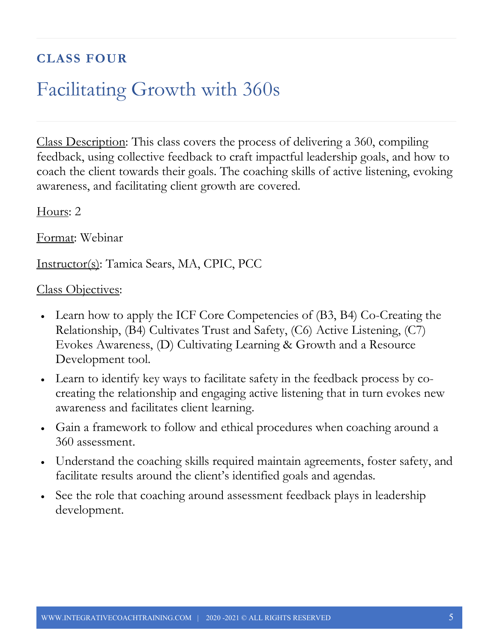### **CLASS FOUR**

## Facilitating Growth with 360s

Class Description: This class covers the process of delivering a 360, compiling feedback, using collective feedback to craft impactful leadership goals, and how to coach the client towards their goals. The coaching skills of active listening, evoking awareness, and facilitating client growth are covered.

Hours: 2

Format: Webinar

Instructor(s): Tamica Sears, MA, CPIC, PCC

- Learn how to apply the ICF Core Competencies of (B3, B4) Co-Creating the Relationship, (B4) Cultivates Trust and Safety, (C6) Active Listening, (C7) Evokes Awareness, (D) Cultivating Learning & Growth and a Resource Development tool.
- Learn to identify key ways to facilitate safety in the feedback process by cocreating the relationship and engaging active listening that in turn evokes new awareness and facilitates client learning.
- Gain a framework to follow and ethical procedures when coaching around a 360 assessment.
- Understand the coaching skills required maintain agreements, foster safety, and facilitate results around the client's identified goals and agendas.
- See the role that coaching around assessment feedback plays in leadership development.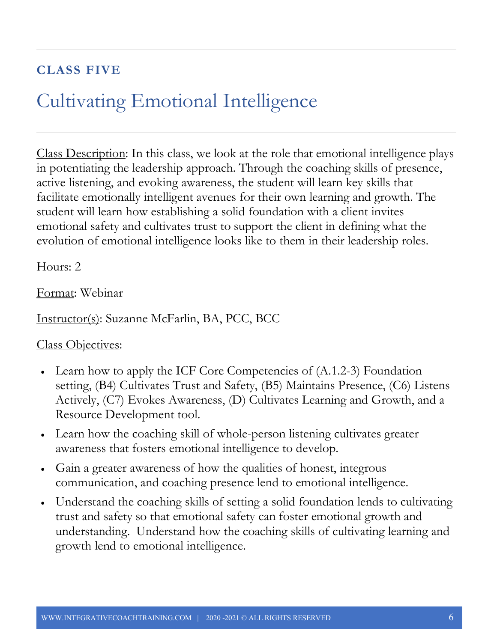### **CLASS FIVE**

## Cultivating Emotional Intelligence

Class Description: In this class, we look at the role that emotional intelligence plays in potentiating the leadership approach. Through the coaching skills of presence, active listening, and evoking awareness, the student will learn key skills that facilitate emotionally intelligent avenues for their own learning and growth. The student will learn how establishing a solid foundation with a client invites emotional safety and cultivates trust to support the client in defining what the evolution of emotional intelligence looks like to them in their leadership roles.

Hours: 2

Format: Webinar

Instructor(s): Suzanne McFarlin, BA, PCC, BCC

- Learn how to apply the ICF Core Competencies of (A.1.2-3) Foundation setting, (B4) Cultivates Trust and Safety, (B5) Maintains Presence, (C6) Listens Actively, (C7) Evokes Awareness, (D) Cultivates Learning and Growth, and a Resource Development tool.
- Learn how the coaching skill of whole-person listening cultivates greater awareness that fosters emotional intelligence to develop.
- Gain a greater awareness of how the qualities of honest, integrous communication, and coaching presence lend to emotional intelligence.
- Understand the coaching skills of setting a solid foundation lends to cultivating trust and safety so that emotional safety can foster emotional growth and understanding. Understand how the coaching skills of cultivating learning and growth lend to emotional intelligence.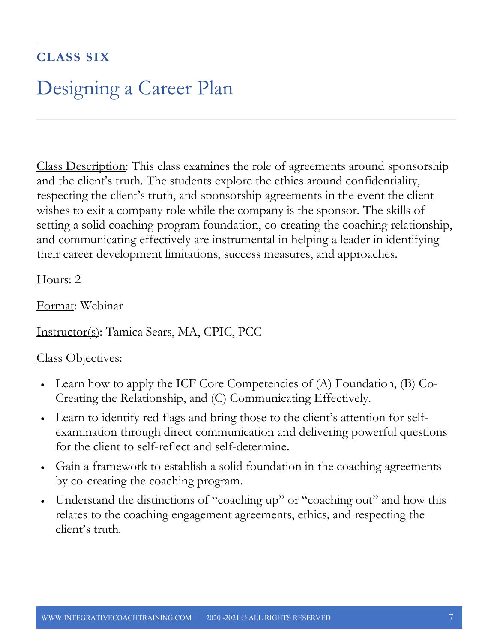### **CLASS SIX**

### Designing a Career Plan

Class Description: This class examines the role of agreements around sponsorship and the client's truth. The students explore the ethics around confidentiality, respecting the client's truth, and sponsorship agreements in the event the client wishes to exit a company role while the company is the sponsor. The skills of setting a solid coaching program foundation, co-creating the coaching relationship, and communicating effectively are instrumental in helping a leader in identifying their career development limitations, success measures, and approaches.

Hours: 2

Format: Webinar

Instructor(s): Tamica Sears, MA, CPIC, PCC

- Learn how to apply the ICF Core Competencies of (A) Foundation, (B) Co-Creating the Relationship, and (C) Communicating Effectively.
- Learn to identify red flags and bring those to the client's attention for selfexamination through direct communication and delivering powerful questions for the client to self-reflect and self-determine.
- Gain a framework to establish a solid foundation in the coaching agreements by co-creating the coaching program.
- Understand the distinctions of "coaching up" or "coaching out" and how this relates to the coaching engagement agreements, ethics, and respecting the client's truth.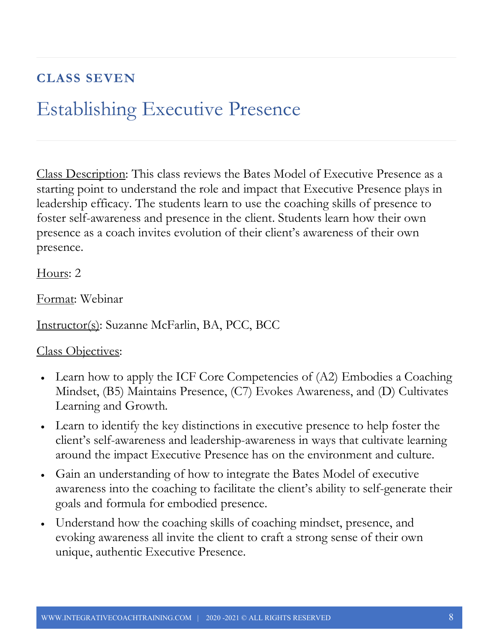### **CLASS SEVEN**

## Establishing Executive Presence

Class Description: This class reviews the Bates Model of Executive Presence as a starting point to understand the role and impact that Executive Presence plays in leadership efficacy. The students learn to use the coaching skills of presence to foster self-awareness and presence in the client. Students learn how their own presence as a coach invites evolution of their client's awareness of their own presence.

Hours: 2

Format: Webinar

Instructor(s): Suzanne McFarlin, BA, PCC, BCC

- Learn how to apply the ICF Core Competencies of (A2) Embodies a Coaching Mindset, (B5) Maintains Presence, (C7) Evokes Awareness, and (D) Cultivates Learning and Growth.
- Learn to identify the key distinctions in executive presence to help foster the client's self-awareness and leadership-awareness in ways that cultivate learning around the impact Executive Presence has on the environment and culture.
- Gain an understanding of how to integrate the Bates Model of executive awareness into the coaching to facilitate the client's ability to self-generate their goals and formula for embodied presence.
- Understand how the coaching skills of coaching mindset, presence, and evoking awareness all invite the client to craft a strong sense of their own unique, authentic Executive Presence.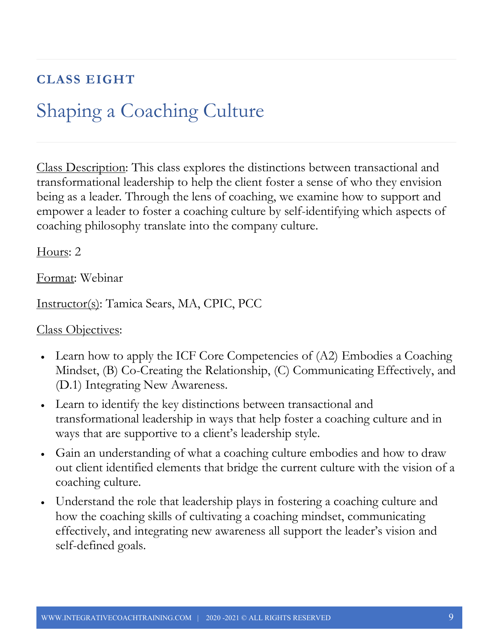### **CLASS EIGHT**

## Shaping a Coaching Culture

Class Description: This class explores the distinctions between transactional and transformational leadership to help the client foster a sense of who they envision being as a leader. Through the lens of coaching, we examine how to support and empower a leader to foster a coaching culture by self-identifying which aspects of coaching philosophy translate into the company culture.

Hours: 2

Format: Webinar

Instructor(s): Tamica Sears, MA, CPIC, PCC

- Learn how to apply the ICF Core Competencies of (A2) Embodies a Coaching Mindset, (B) Co-Creating the Relationship, (C) Communicating Effectively, and (D.1) Integrating New Awareness.
- Learn to identify the key distinctions between transactional and transformational leadership in ways that help foster a coaching culture and in ways that are supportive to a client's leadership style.
- Gain an understanding of what a coaching culture embodies and how to draw out client identified elements that bridge the current culture with the vision of a coaching culture.
- Understand the role that leadership plays in fostering a coaching culture and how the coaching skills of cultivating a coaching mindset, communicating effectively, and integrating new awareness all support the leader's vision and self-defined goals.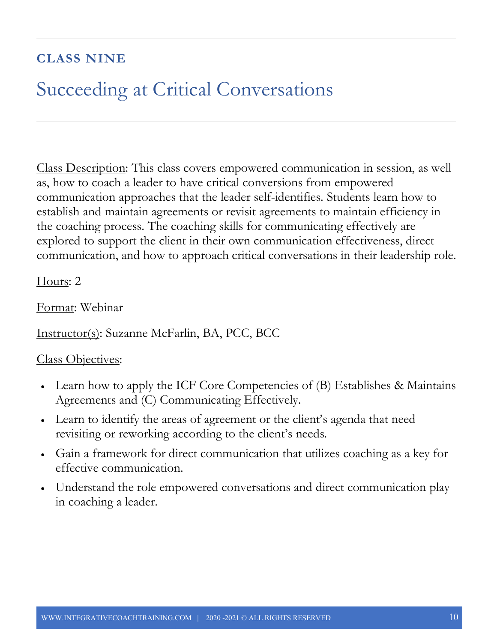### **CLASS NINE**

### Succeeding at Critical Conversations

Class Description: This class covers empowered communication in session, as well as, how to coach a leader to have critical conversions from empowered communication approaches that the leader self-identifies. Students learn how to establish and maintain agreements or revisit agreements to maintain efficiency in the coaching process. The coaching skills for communicating effectively are explored to support the client in their own communication effectiveness, direct communication, and how to approach critical conversations in their leadership role.

Hours: 2

Format: Webinar

Instructor(s): Suzanne McFarlin, BA, PCC, BCC

- Learn how to apply the ICF Core Competencies of (B) Establishes & Maintains Agreements and (C) Communicating Effectively.
- Learn to identify the areas of agreement or the client's agenda that need revisiting or reworking according to the client's needs.
- Gain a framework for direct communication that utilizes coaching as a key for effective communication.
- Understand the role empowered conversations and direct communication play in coaching a leader.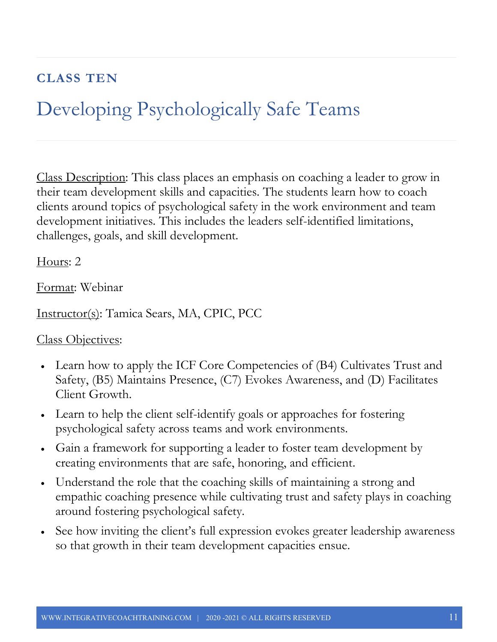### **CLASS TEN**

## Developing Psychologically Safe Teams

Class Description: This class places an emphasis on coaching a leader to grow in their team development skills and capacities. The students learn how to coach clients around topics of psychological safety in the work environment and team development initiatives. This includes the leaders self-identified limitations, challenges, goals, and skill development.

Hours: 2

Format: Webinar

Instructor(s): Tamica Sears, MA, CPIC, PCC

- Learn how to apply the ICF Core Competencies of (B4) Cultivates Trust and Safety, (B5) Maintains Presence, (C7) Evokes Awareness, and (D) Facilitates Client Growth.
- Learn to help the client self-identify goals or approaches for fostering psychological safety across teams and work environments.
- Gain a framework for supporting a leader to foster team development by creating environments that are safe, honoring, and efficient.
- Understand the role that the coaching skills of maintaining a strong and empathic coaching presence while cultivating trust and safety plays in coaching around fostering psychological safety.
- See how inviting the client's full expression evokes greater leadership awareness so that growth in their team development capacities ensue.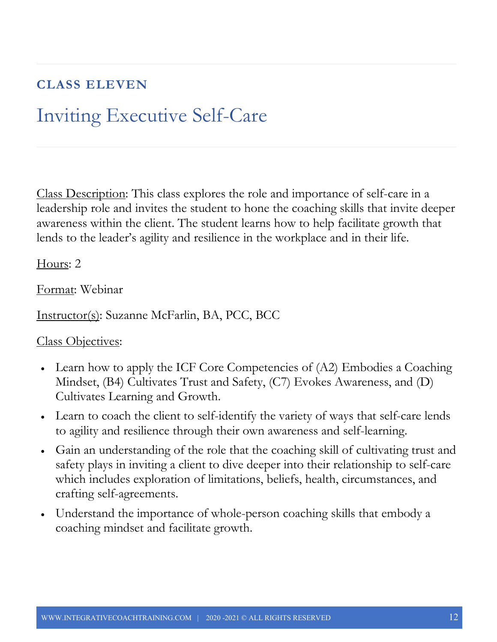### **CLASS ELEVEN**

## Inviting Executive Self-Care

Class Description: This class explores the role and importance of self-care in a leadership role and invites the student to hone the coaching skills that invite deeper awareness within the client. The student learns how to help facilitate growth that lends to the leader's agility and resilience in the workplace and in their life.

Hours: 2

Format: Webinar

Instructor(s): Suzanne McFarlin, BA, PCC, BCC

- Learn how to apply the ICF Core Competencies of (A2) Embodies a Coaching Mindset, (B4) Cultivates Trust and Safety, (C7) Evokes Awareness, and (D) Cultivates Learning and Growth.
- Learn to coach the client to self-identify the variety of ways that self-care lends to agility and resilience through their own awareness and self-learning.
- Gain an understanding of the role that the coaching skill of cultivating trust and safety plays in inviting a client to dive deeper into their relationship to self-care which includes exploration of limitations, beliefs, health, circumstances, and crafting self-agreements.
- Understand the importance of whole-person coaching skills that embody a coaching mindset and facilitate growth.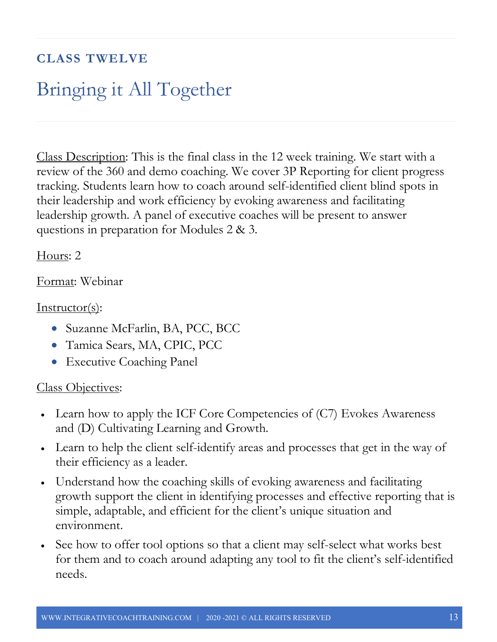### **CLASS TWELVE**

## Bringing it All Together

Class Description: This is the final class in the 12 week training. We start with a review of the 360 and demo coaching. We cover 3P Reporting for client progress tracking. Students learn how to coach around self-identified client blind spots in their leadership and work efficiency by evoking awareness and facilitating leadership growth. A panel of executive coaches will be present to answer questions in preparation for Modules 2 & 3.

Hours: 2

Format: Webinar

Instructor(s):

- Suzanne McFarlin, BA, PCC, BCC
- Tamica Sears, MA, CPIC, PCC
- Executive Coaching Panel

- Learn how to apply the ICF Core Competencies of  $(C7)$  Evokes Awareness and (D) Cultivating Learning and Growth.
- Learn to help the client self-identify areas and processes that get in the way of their efficiency as a leader.
- Understand how the coaching skills of evoking awareness and facilitating growth support the client in identifying processes and effective reporting that is simple, adaptable, and efficient for the client's unique situation and environment.
- See how to offer tool options so that a client may self-select what works best for them and to coach around adapting any tool to fit the client's self-identified needs.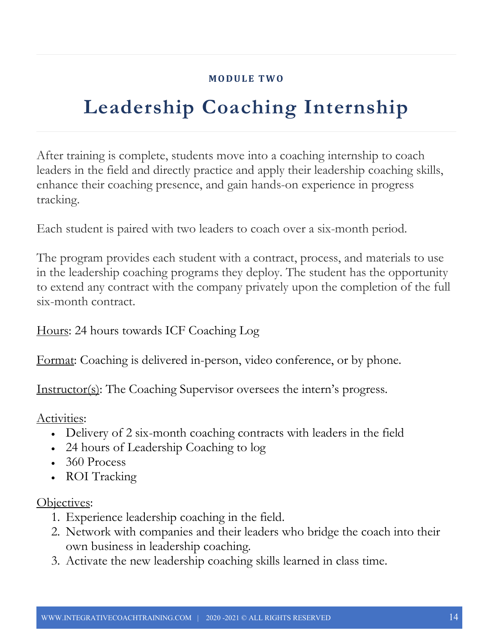#### **MODULE TWO**

## **Leadership Coaching Internship**

After training is complete, students move into a coaching internship to coach leaders in the field and directly practice and apply their leadership coaching skills, enhance their coaching presence, and gain hands-on experience in progress tracking.

Each student is paired with two leaders to coach over a six-month period.

The program provides each student with a contract, process, and materials to use in the leadership coaching programs they deploy. The student has the opportunity to extend any contract with the company privately upon the completion of the full six-month contract.

Hours: 24 hours towards ICF Coaching Log

Format: Coaching is delivered in-person, video conference, or by phone.

Instructor(s): The Coaching Supervisor oversees the intern's progress.

Activities:

- Delivery of 2 six-month coaching contracts with leaders in the field
- 24 hours of Leadership Coaching to log
- $360$  Process
- ROI Tracking

#### Objectives:

- 1. Experience leadership coaching in the field.
- 2. Network with companies and their leaders who bridge the coach into their own business in leadership coaching.
- 3. Activate the new leadership coaching skills learned in class time.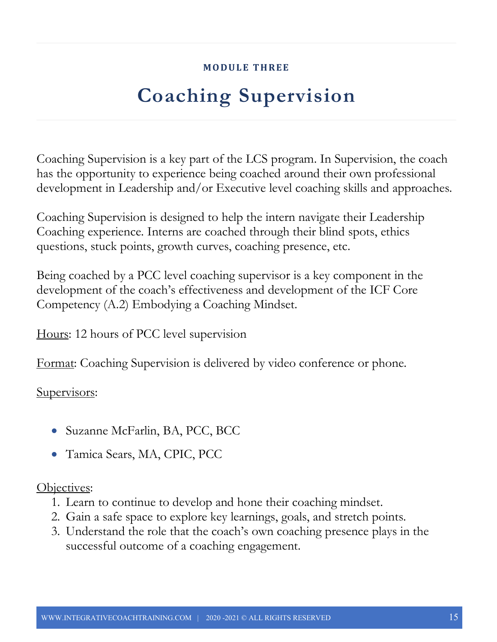#### **MODULE THREE**

## **Coaching Supervision**

Coaching Supervision is a key part of the LCS program. In Supervision, the coach has the opportunity to experience being coached around their own professional development in Leadership and/or Executive level coaching skills and approaches.

Coaching Supervision is designed to help the intern navigate their Leadership Coaching experience. Interns are coached through their blind spots, ethics questions, stuck points, growth curves, coaching presence, etc.

Being coached by a PCC level coaching supervisor is a key component in the development of the coach's effectiveness and development of the ICF Core Competency (A.2) Embodying a Coaching Mindset.

Hours: 12 hours of PCC level supervision

Format: Coaching Supervision is delivered by video conference or phone.

Supervisors:

- Suzanne McFarlin, BA, PCC, BCC
- Tamica Sears, MA, CPIC, PCC

Objectives:

- 1. Learn to continue to develop and hone their coaching mindset.
- 2. Gain a safe space to explore key learnings, goals, and stretch points.
- 3. Understand the role that the coach's own coaching presence plays in the successful outcome of a coaching engagement.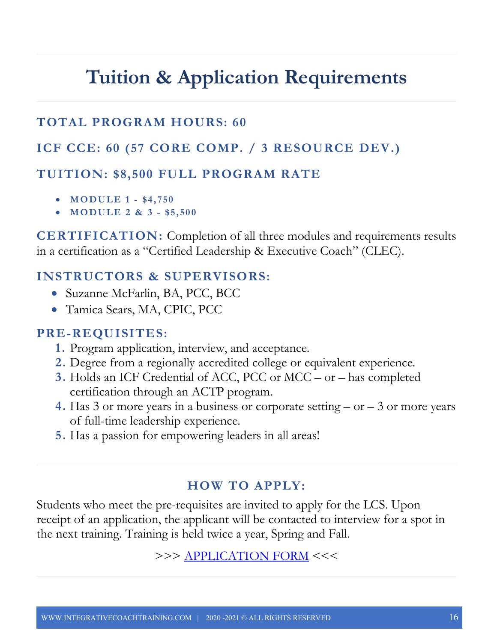## **Tuition & Application Requirements**

### **TOTAL PROGRAM HOURS: 60**

#### **ICF CCE: 60 (57 CORE COMP. / 3 RESOURCE DEV.)**

#### **TUITION: \$8,500 FULL PROGRAM RATE**

- **MODULE 1 - \$4, 750**
- **MODULE 2 & 3 - \$5,500**

**CERTIFICATION:** Completion of all three modules and requirements results in a certification as a "Certified Leadership & Executive Coach" (CLEC).

### **INSTRUCTORS & SUPERVISORS:**

- Suzanne McFarlin, BA, PCC, BCC
- Tamica Sears, MA, CPIC, PCC

#### **PRE-REQUISITES:**

- **1.** Program application, interview, and acceptance.
- **2.** Degree from a regionally accredited college or equivalent experience.
- **3.** Holds an ICF Credential of ACC, PCC or MCC or has completed certification through an ACTP program.
- **4.** Has 3 or more years in a business or corporate setting or 3 or more years of full-time leadership experience.
- **5.** Has a passion for empowering leaders in all areas!

### **HOW TO APPLY:**

Students who meet the pre-requisites are invited to apply for the LCS. Upon receipt of an application, the applicant will be contacted to interview for a spot in the next training. Training is held twice a year, Spring and Fall.

>>> APPLICATION FORM <<<